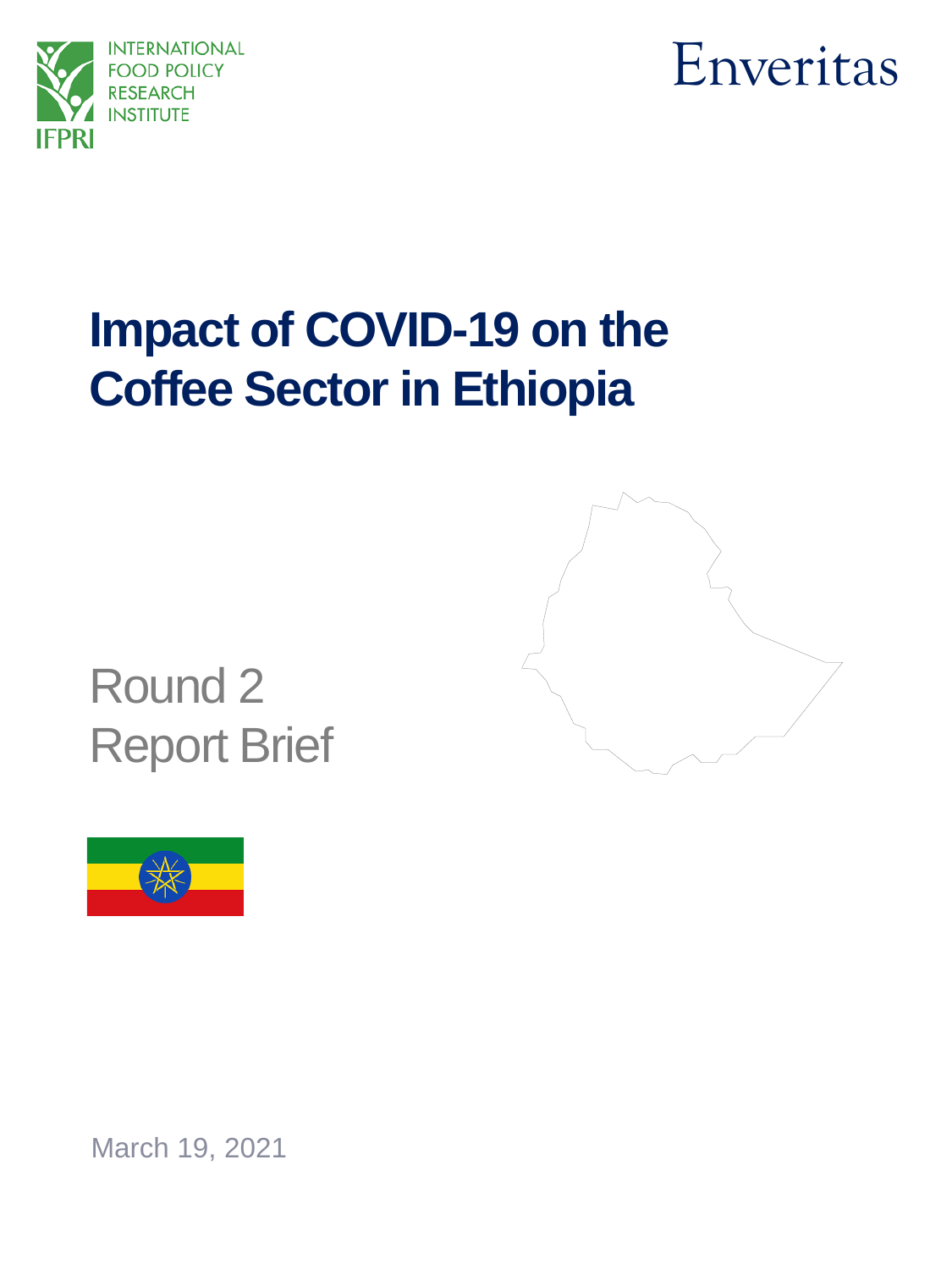



# **Impact of COVID-19 on the Coffee Sector in Ethiopia**



Round 2 Report Brief



March 19, 2021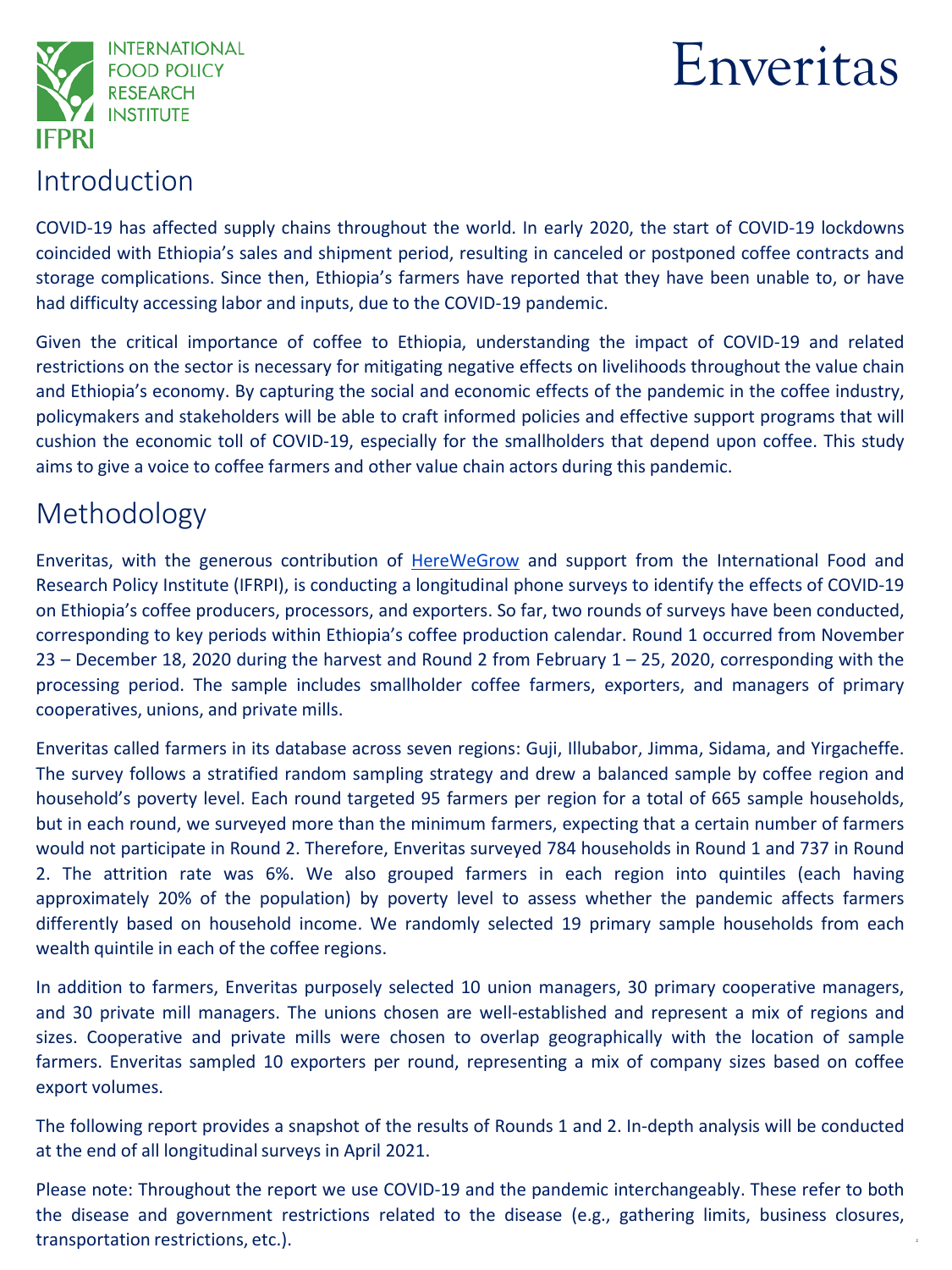

# Enveritas

### Introduction

COVID-19 has affected supply chains throughout the world. In early 2020, the start of COVID-19 lockdowns coincided with Ethiopia's sales and shipment period, resulting in canceled or postponed coffee contracts and storage complications. Since then, Ethiopia's farmers have reported that they have been unable to, or have had difficulty accessing labor and inputs, due to the COVID-19 pandemic.

Given the critical importance of coffee to Ethiopia, understanding the impact of COVID-19 and related restrictions on the sector is necessary for mitigating negative effects on livelihoods throughout the value chain and Ethiopia's economy. By capturing the social and economic effects of the pandemic in the coffee industry, policymakers and stakeholders will be able to craft informed policies and effective support programs that will cushion the economic toll of COVID-19, especially for the smallholders that depend upon coffee. This study aims to give a voice to coffee farmers and other value chain actors during this pandemic.

## Methodology

Enveritas, with the generous contribution of [HereWeGrow](http://www.herewegrow.org/) and support from the International Food and Research Policy Institute (IFRPI), is conducting a longitudinal phone surveys to identify the effects of COVID-19 on Ethiopia's coffee producers, processors, and exporters. So far, two rounds of surveys have been conducted, corresponding to key periods within Ethiopia's coffee production calendar. Round 1 occurred from November 23 – December 18, 2020 during the harvest and Round 2 from February 1 – 25, 2020, corresponding with the processing period. The sample includes smallholder coffee farmers, exporters, and managers of primary cooperatives, unions, and private mills.

Enveritas called farmers in its database across seven regions: Guji, Illubabor, Jimma, Sidama, and Yirgacheffe. The survey follows a stratified random sampling strategy and drew a balanced sample by coffee region and household's poverty level. Each round targeted 95 farmers per region for a total of 665 sample households, but in each round, we surveyed more than the minimum farmers, expecting that a certain number of farmers would not participate in Round 2. Therefore, Enveritas surveyed 784 households in Round 1 and 737 in Round 2. The attrition rate was 6%. We also grouped farmers in each region into quintiles (each having approximately 20% of the population) by poverty level to assess whether the pandemic affects farmers differently based on household income. We randomly selected 19 primary sample households from each wealth quintile in each of the coffee regions.

In addition to farmers, Enveritas purposely selected 10 union managers, 30 primary cooperative managers, and 30 private mill managers. The unions chosen are well-established and represent a mix of regions and sizes. Cooperative and private mills were chosen to overlap geographically with the location of sample farmers. Enveritas sampled 10 exporters per round, representing a mix of company sizes based on coffee export volumes.

The following report provides a snapshot of the results of Rounds 1 and 2. In-depth analysis will be conducted at the end of all longitudinal surveys in April 2021.

Please note: Throughout the report we use COVID-19 and the pandemic interchangeably. These refer to both the disease and government restrictions related to the disease (e.g., gathering limits, business closures, transportation restrictions, etc.).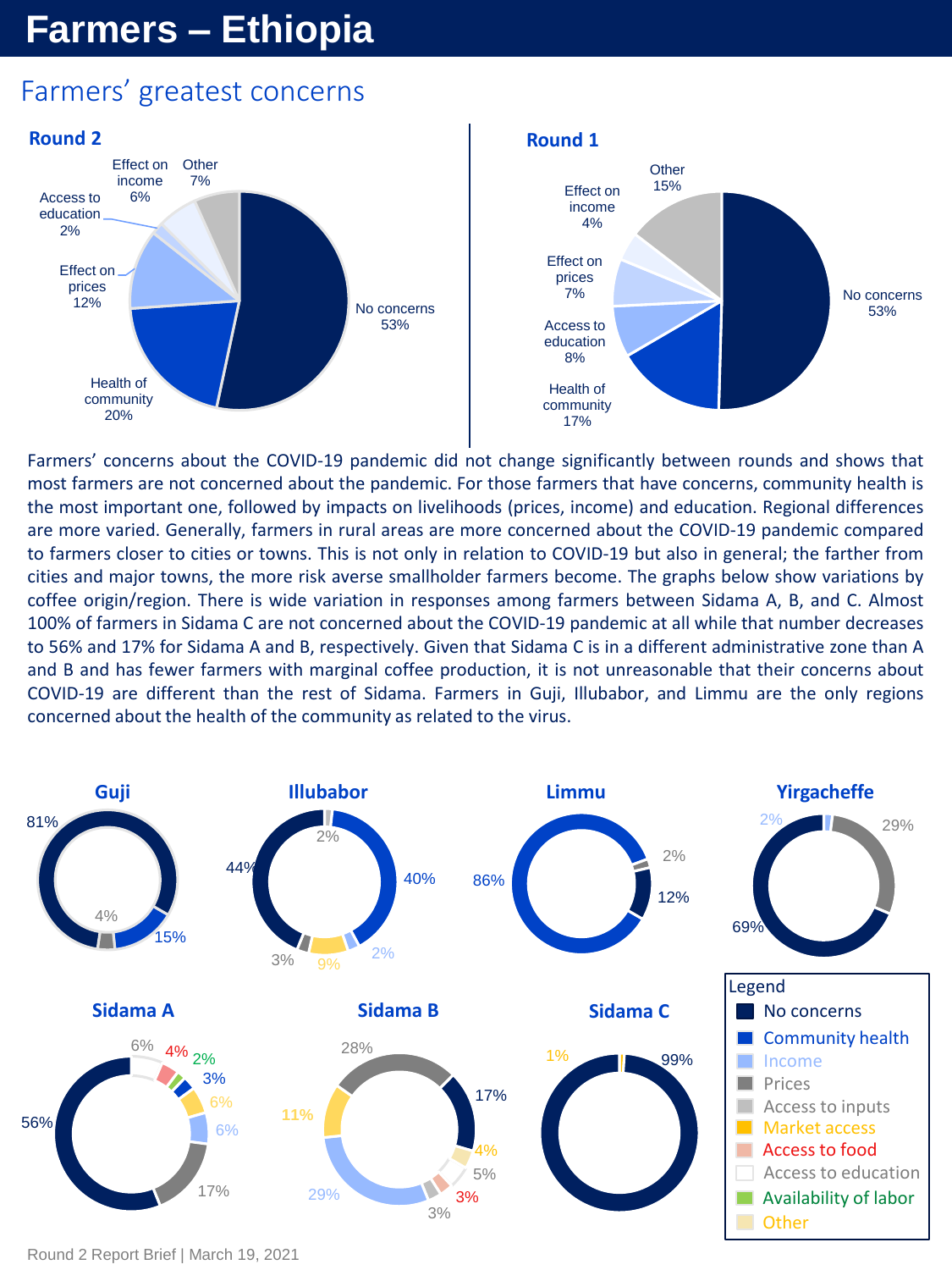## **Farmers – Ethiopia**

## Farmers' greatest concerns



Farmers' concerns about the COVID-19 pandemic did not change significantly between rounds and shows that most farmers are not concerned about the pandemic. For those farmers that have concerns, community health is the most important one, followed by impacts on livelihoods (prices, income) and education. Regional differences are more varied. Generally, farmers in rural areas are more concerned about the COVID-19 pandemic compared to farmers closer to cities or towns. This is not only in relation to COVID-19 but also in general; the farther from cities and major towns, the more risk averse smallholder farmers become. The graphs below show variations by coffee origin/region. There is wide variation in responses among farmers between Sidama A, B, and C. Almost 100% of farmers in Sidama C are not concerned about the COVID-19 pandemic at all while that number decreases to 56% and 17% for Sidama A and B, respectively. Given that Sidama C is in a different administrative zone than A and B and has fewer farmers with marginal coffee production, it is not unreasonable that their concerns about COVID-19 are different than the rest of Sidama. Farmers in Guji, Illubabor, and Limmu are the only regions concerned about the health of the community as related to the virus.



Round 2 Report Brief | March 19, 2021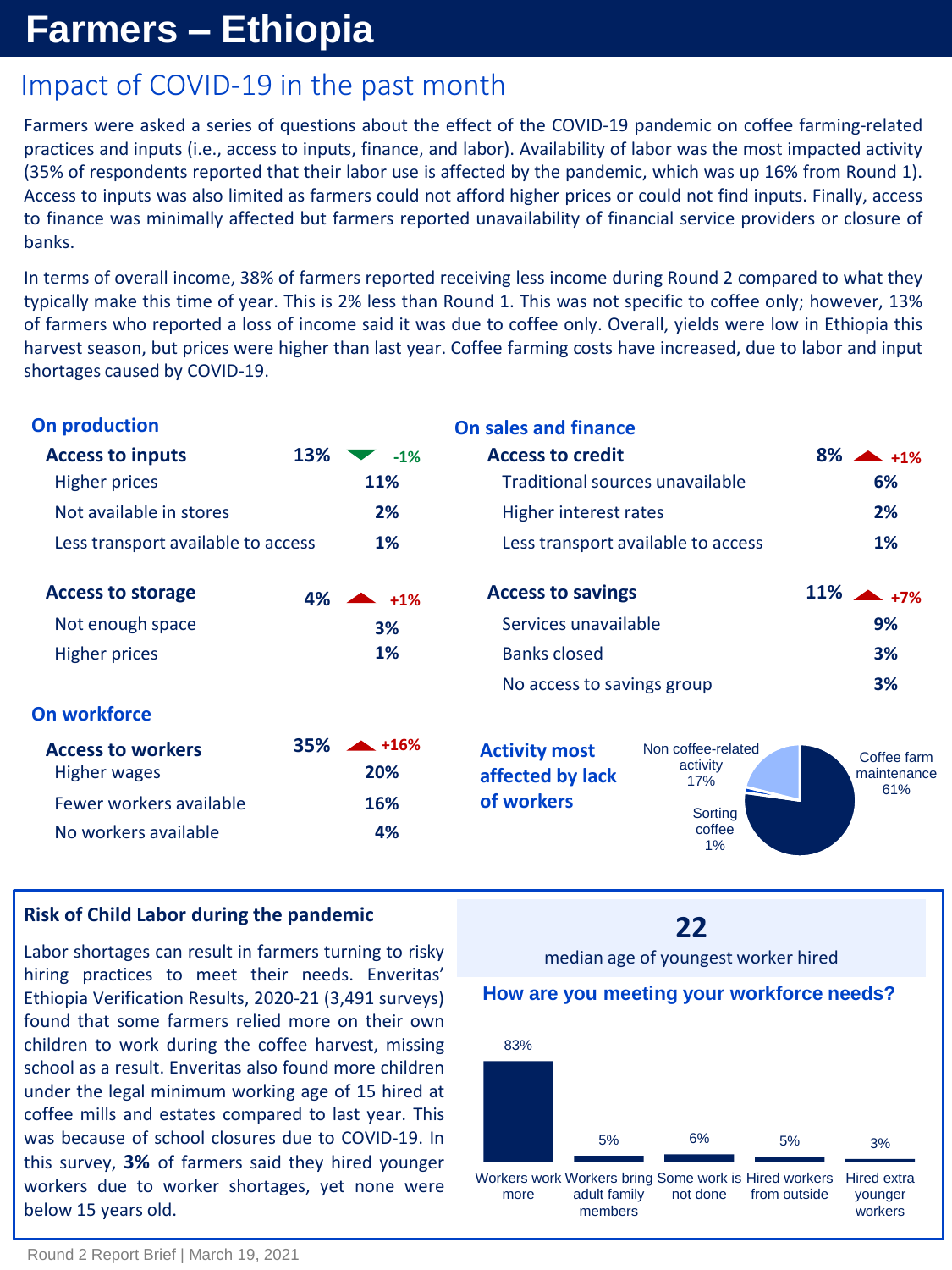## **Farmers – Ethiopia**

## Impact of COVID-19 in the past month

Farmers were asked a series of questions about the effect of the COVID-19 pandemic on coffee farming-related practices and inputs (i.e., access to inputs, finance, and labor). Availability of labor was the most impacted activity (35% of respondents reported that their labor use is affected by the pandemic, which was up 16% from Round 1). Access to inputs was also limited as farmers could not afford higher prices or could not find inputs. Finally, access to finance was minimally affected but farmers reported unavailability of financial service providers or closure of banks.

In terms of overall income, 38% of farmers reported receiving less income during Round 2 compared to what they typically make this time of year. This is 2% less than Round 1. This was not specific to coffee only; however, 13% of farmers who reported a loss of income said it was due to coffee only. Overall, yields were low in Ethiopia this harvest season, but prices were higher than last year. Coffee farming costs have increased, due to labor and input shortages caused by COVID-19.

| On production                                   |            |                                    | <b>On sales and finance</b>                                |                                       |                            |  |
|-------------------------------------------------|------------|------------------------------------|------------------------------------------------------------|---------------------------------------|----------------------------|--|
| <b>Access to inputs</b><br><b>Higher prices</b> | 13%        | $-1%$<br>11%                       | <b>Access to credit</b><br>Traditional sources unavailable |                                       | $8\% - 1\%$<br>6%          |  |
| Not available in stores                         | 2%         | Higher interest rates              | 2%                                                         |                                       |                            |  |
| Less transport available to access              | 1%         | Less transport available to access | $1\%$                                                      |                                       |                            |  |
| <b>Access to storage</b>                        | 4%         | $\blacktriangle$ +1%               | <b>Access to savings</b>                                   |                                       | $11\%$ $+7\%$              |  |
| Not enough space                                |            | 3%                                 | Services unavailable                                       | 9%                                    |                            |  |
| <b>Higher prices</b>                            |            | 1%                                 | <b>Banks closed</b>                                        | 3%                                    |                            |  |
|                                                 |            |                                    | No access to savings group                                 |                                       | 3%                         |  |
| On workforce                                    |            |                                    |                                                            |                                       |                            |  |
| <b>Access to workers</b><br>Higher wages        | <b>35%</b> | $+16%$<br>20%                      | <b>Activity most</b><br>affected by lack                   | Non coffee-related<br>activity<br>17% | Coffee farm<br>maintenance |  |
| Fewer workers available                         |            | 16%                                | of workers                                                 | Sorting                               | 61%                        |  |
| No workers available                            |            | 4%                                 |                                                            | coffee<br>$1\%$                       |                            |  |

#### **Risk of Child Labor during the pandemic**

Labor shortages can result in farmers turning to risky hiring practices to meet their needs. Enveritas' Ethiopia Verification Results, 2020-21 (3,491 surveys) found that some farmers relied more on their own children to work during the coffee harvest, missing school as a result. Enveritas also found more children under the legal minimum working age of 15 hired at coffee mills and estates compared to last year. This was because of school closures due to COVID-19. In this survey, **3%** of farmers said they hired younger workers due to worker shortages, yet none were below 15 years old.

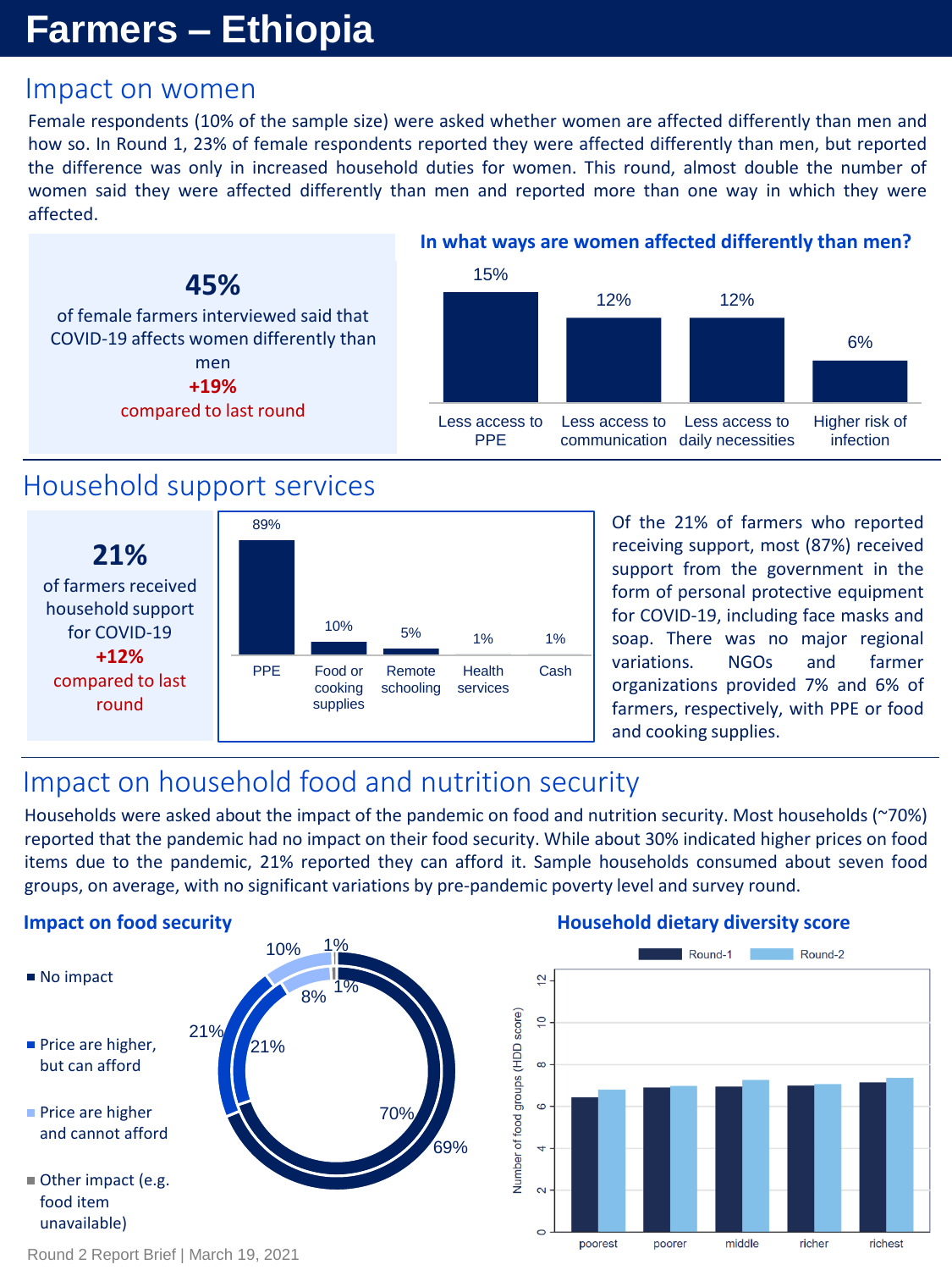## **Farmers – Ethiopia**

### Impact on women

Female respondents (10% of the sample size) were asked whether women are affected differently than men and how so. In Round 1, 23% of female respondents reported they were affected differently than men, but reported the difference was only in increased household duties for women. This round, almost double the number of women said they were affected differently than men and reported more than one way in which they were affected.



### Household support services



Of the 21% of farmers who reported receiving support, most (87%) received support from the government in the form of personal protective equipment for COVID-19, including face masks and soap. There was no major regional variations. NGOs and farmer organizations provided 7% and 6% of farmers, respectively, with PPE or food and cooking supplies.

## Impact on household food and nutrition security

Households were asked about the impact of the pandemic on food and nutrition security. Most households (~70%) reported that the pandemic had no impact on their food security. While about 30% indicated higher prices on food items due to the pandemic, 21% reported they can afford it. Sample households consumed about seven food groups, on average, with no significant variations by pre-pandemic poverty level and survey round.

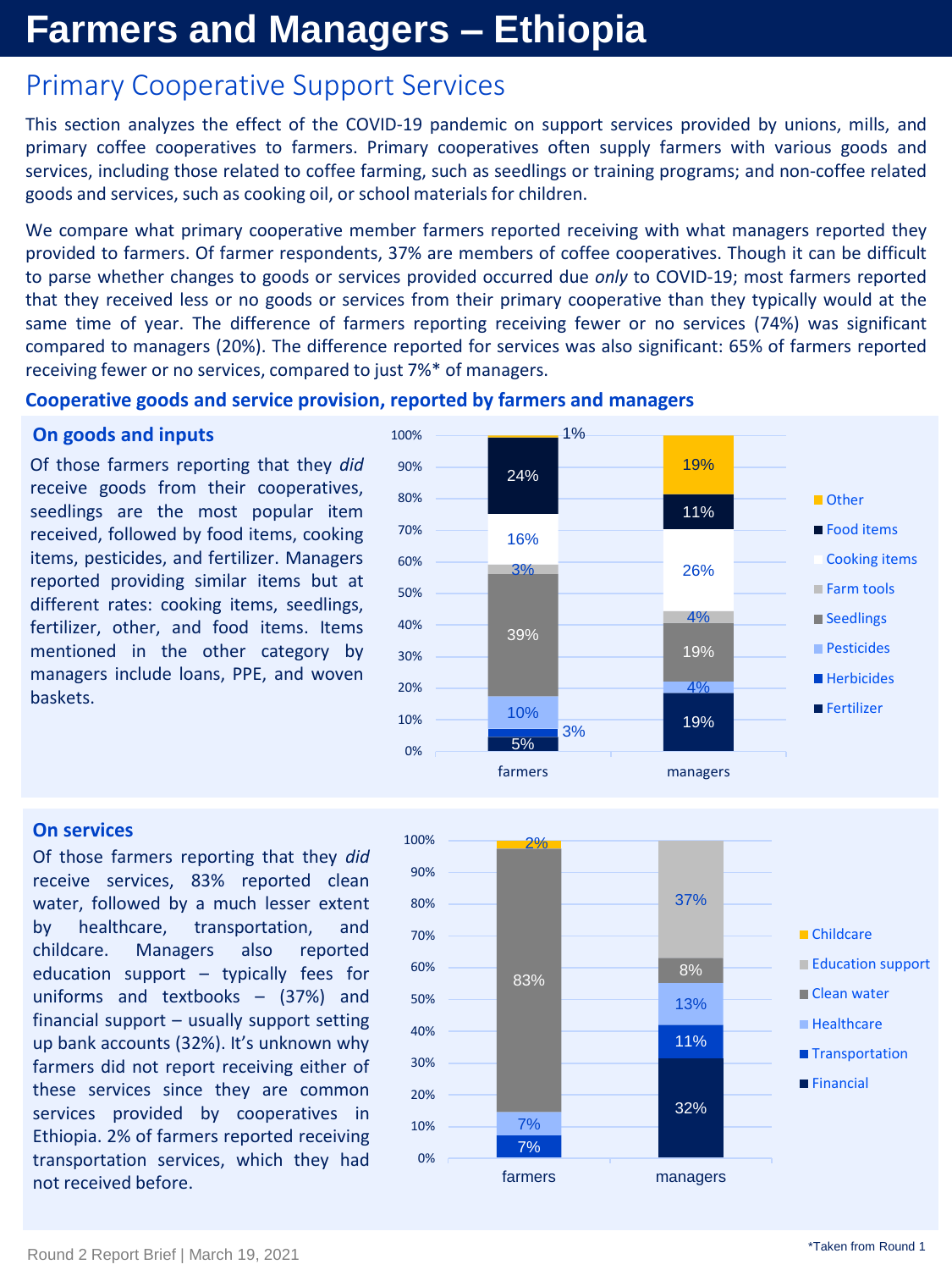## **Farmers and Managers – Ethiopia**

### Primary Cooperative Support Services

This section analyzes the effect of the COVID-19 pandemic on support services provided by unions, mills, and primary coffee cooperatives to farmers. Primary cooperatives often supply farmers with various goods and services, including those related to coffee farming, such as seedlings or training programs; and non-coffee related goods and services, such as cooking oil, or school materials for children.

We compare what primary cooperative member farmers reported receiving with what managers reported they provided to farmers. Of farmer respondents, 37% are members of coffee cooperatives. Though it can be difficult to parse whether changes to goods or services provided occurred due *only* to COVID-19; most farmers reported that they received less or no goods or services from their primary cooperative than they typically would at the same time of year. The difference of farmers reporting receiving fewer or no services (74%) was significant compared to managers (20%). The difference reported for services was also significant: 65% of farmers reported receiving fewer or no services, compared to just 7%\* of managers.

#### **Cooperative goods and service provision, reported by farmers and managers**

#### **On goods and inputs**

Of those farmers reporting that they *did* receive goods from their cooperatives, seedlings are the most popular item received, followed by food items, cooking items, pesticides, and fertilizer. Managers reported providing similar items but at different rates: cooking items, seedlings, fertilizer, other, and food items. Items mentioned in the other category by managers include loans, PPE, and woven baskets.



#### **On services**

Of those farmers reporting that they *did* receive services, 83% reported clean water, followed by a much lesser extent by healthcare, transportation, and childcare. Managers also reported education support – typically fees for uniforms and textbooks – (37%) and financial support – usually support setting up bank accounts (32%). It's unknown why farmers did not report receiving either of these services since they are common services provided by cooperatives in Ethiopia. 2% of farmers reported receiving transportation services, which they had not received before.

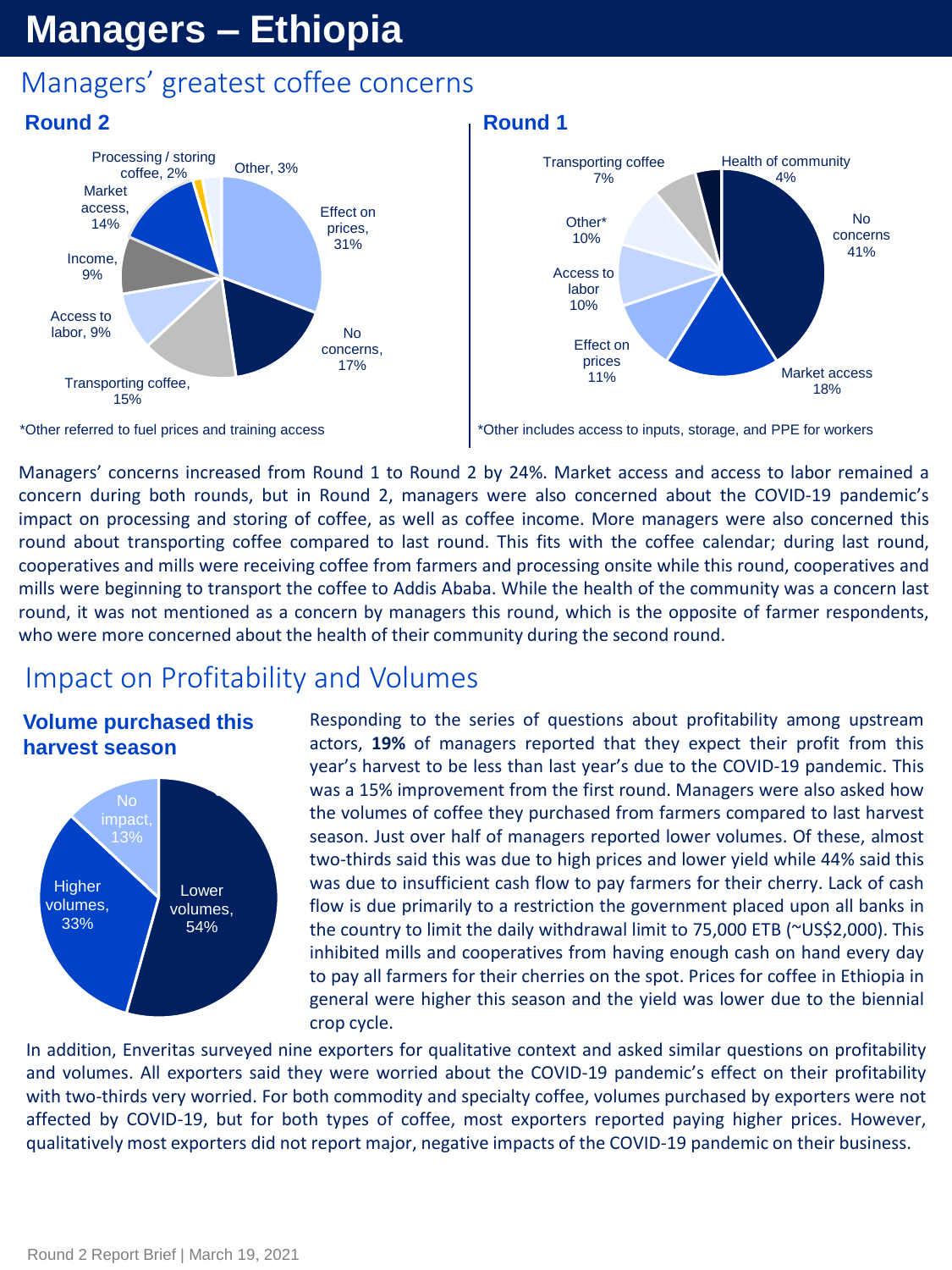## **Managers – Ethiopia**

## Managers' greatest coffee concerns



#### **Round 1**



\*Other referred to fuel prices and training access

\*Other includes access to inputs, storage, and PPE for workers

Managers' concerns increased from Round 1 to Round 2 by 24%. Market access and access to labor remained a concern during both rounds, but in Round 2, managers were also concerned about the COVID-19 pandemic's impact on processing and storing of coffee, as well as coffee income. More managers were also concerned this round about transporting coffee compared to last round. This fits with the coffee calendar; during last round, cooperatives and mills were receiving coffee from farmers and processing onsite while this round, cooperatives and mills were beginning to transport the coffee to Addis Ababa. While the health of the community was a concern last round, it was not mentioned as a concern by managers this round, which is the opposite of farmer respondents, who were more concerned about the health of their community during the second round.

## Impact on Profitability and Volumes

#### **Volume purchased this harvest season**



Responding to the series of questions about profitability among upstream actors, **19%** of managers reported that they expect their profit from this year's harvest to be less than last year's due to the COVID-19 pandemic. This was a 15% improvement from the first round. Managers were also asked how the volumes of coffee they purchased from farmers compared to last harvest season. Just over half of managers reported lower volumes. Of these, almost two-thirds said this was due to high prices and lower yield while 44% said this was due to insufficient cash flow to pay farmers for their cherry. Lack of cash flow is due primarily to a restriction the government placed upon all banks in the country to limit the daily withdrawal limit to 75,000 ETB (~US\$2,000). This inhibited mills and cooperatives from having enough cash on hand every day to pay all farmers for their cherries on the spot. Prices for coffee in Ethiopia in general were higher this season and the yield was lower due to the biennial crop cycle.

In addition, Enveritas surveyed nine exporters for qualitative context and asked similar questions on profitability and volumes. All exporters said they were worried about the COVID-19 pandemic's effect on their profitability with two-thirds very worried. For both commodity and specialty coffee, volumes purchased by exporters were not affected by COVID-19, but for both types of coffee, most exporters reported paying higher prices. However, qualitatively most exporters did not report major, negative impacts of the COVID-19 pandemic on their business.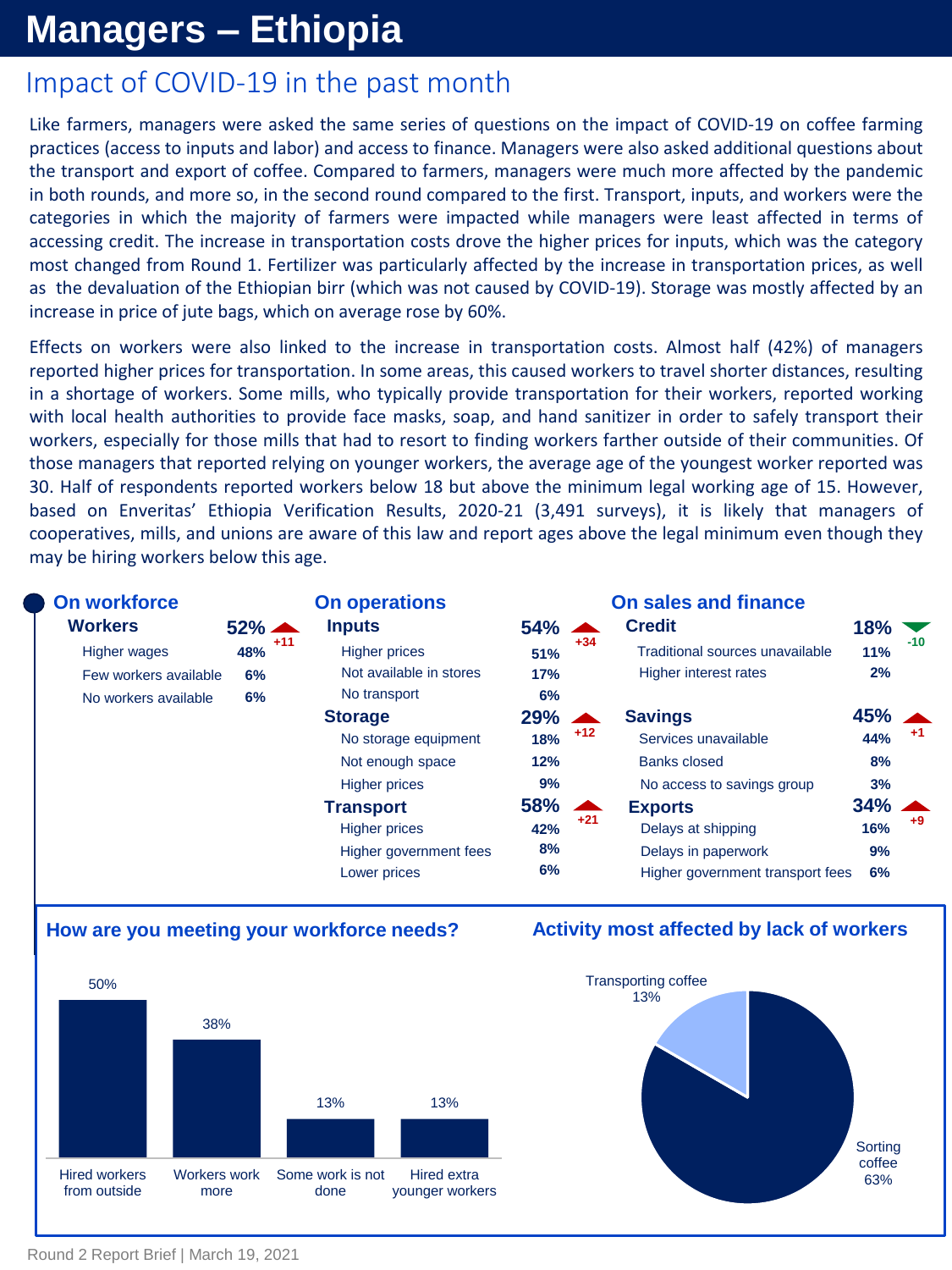## **Managers – Ethiopia**

## Impact of COVID-19 in the past month

Like farmers, managers were asked the same series of questions on the impact of COVID-19 on coffee farming practices (access to inputs and labor) and access to finance. Managers were also asked additional questions about the transport and export of coffee. Compared to farmers, managers were much more affected by the pandemic in both rounds, and more so, in the second round compared to the first. Transport, inputs, and workers were the categories in which the majority of farmers were impacted while managers were least affected in terms of accessing credit. The increase in transportation costs drove the higher prices for inputs, which was the category most changed from Round 1. Fertilizer was particularly affected by the increase in transportation prices, as well as the devaluation of the Ethiopian birr (which was not caused by COVID-19). Storage was mostly affected by an increase in price of jute bags, which on average rose by 60%.

Effects on workers were also linked to the increase in transportation costs. Almost half (42%) of managers reported higher prices for transportation. In some areas, this caused workers to travel shorter distances, resulting in a shortage of workers. Some mills, who typically provide transportation for their workers, reported working with local health authorities to provide face masks, soap, and hand sanitizer in order to safely transport their workers, especially for those mills that had to resort to finding workers farther outside of their communities. Of those managers that reported relying on younger workers, the average age of the youngest worker reported was 30. Half of respondents reported workers below 18 but above the minimum legal working age of 15. However, based on Enveritas' Ethiopia Verification Results, 2020-21 (3,491 surveys), it is likely that managers of cooperatives, mills, and unions are aware of this law and report ages above the legal minimum even though they may be hiring workers below this age.

| <b>Workers</b><br><b>Credit</b><br><b>Inputs</b><br>$52\%$ $\triangle$<br>54%<br>18%<br>$\blacktriangle$<br>$-10$<br>$+34$<br>$+11$<br>48%<br>Traditional sources unavailable<br><b>Higher prices</b><br><b>Higher wages</b><br><b>11%</b><br>51%<br>Not available in stores<br>Higher interest rates<br>2%<br>17%<br>Few workers available<br>6%<br>No transport<br>6%<br>No workers available<br>6%<br>$45%$ $\triangle$<br>$29\%$ $\blacktriangle$<br><b>Savings</b><br><b>Storage</b><br>$+12$<br>+1<br>18%<br>44%<br>Services unavailable<br>No storage equipment<br>8%<br>Not enough space<br>12%<br><b>Banks closed</b><br><b>Higher prices</b><br>No access to savings group<br>9%<br>3%<br>58%<br>$34\%$ $\blacktriangle$<br><b>Transport</b><br><b>Exports</b><br>▲ |  | <b>On workforce</b> | <b>On operations</b> |  |       | <b>On sales and finance</b> |  |      |
|-------------------------------------------------------------------------------------------------------------------------------------------------------------------------------------------------------------------------------------------------------------------------------------------------------------------------------------------------------------------------------------------------------------------------------------------------------------------------------------------------------------------------------------------------------------------------------------------------------------------------------------------------------------------------------------------------------------------------------------------------------------------------------|--|---------------------|----------------------|--|-------|-----------------------------|--|------|
|                                                                                                                                                                                                                                                                                                                                                                                                                                                                                                                                                                                                                                                                                                                                                                               |  |                     |                      |  |       |                             |  |      |
|                                                                                                                                                                                                                                                                                                                                                                                                                                                                                                                                                                                                                                                                                                                                                                               |  |                     |                      |  |       |                             |  |      |
|                                                                                                                                                                                                                                                                                                                                                                                                                                                                                                                                                                                                                                                                                                                                                                               |  |                     |                      |  |       |                             |  |      |
|                                                                                                                                                                                                                                                                                                                                                                                                                                                                                                                                                                                                                                                                                                                                                                               |  |                     |                      |  |       |                             |  |      |
|                                                                                                                                                                                                                                                                                                                                                                                                                                                                                                                                                                                                                                                                                                                                                                               |  |                     |                      |  |       |                             |  |      |
|                                                                                                                                                                                                                                                                                                                                                                                                                                                                                                                                                                                                                                                                                                                                                                               |  |                     |                      |  |       |                             |  |      |
|                                                                                                                                                                                                                                                                                                                                                                                                                                                                                                                                                                                                                                                                                                                                                                               |  |                     |                      |  |       |                             |  |      |
|                                                                                                                                                                                                                                                                                                                                                                                                                                                                                                                                                                                                                                                                                                                                                                               |  |                     |                      |  |       |                             |  |      |
|                                                                                                                                                                                                                                                                                                                                                                                                                                                                                                                                                                                                                                                                                                                                                                               |  |                     |                      |  |       |                             |  |      |
| 16%<br><b>Higher prices</b><br>42%<br>Delays at shipping                                                                                                                                                                                                                                                                                                                                                                                                                                                                                                                                                                                                                                                                                                                      |  |                     |                      |  | $+21$ |                             |  | $+9$ |
| 8%<br>Delays in paperwork<br>Higher government fees<br>9%                                                                                                                                                                                                                                                                                                                                                                                                                                                                                                                                                                                                                                                                                                                     |  |                     |                      |  |       |                             |  |      |
| 6%<br>Higher government transport fees<br>6%<br>Lower prices                                                                                                                                                                                                                                                                                                                                                                                                                                                                                                                                                                                                                                                                                                                  |  |                     |                      |  |       |                             |  |      |

#### **How are you meeting your workforce needs?**



#### **Activity most affected by lack of workers**